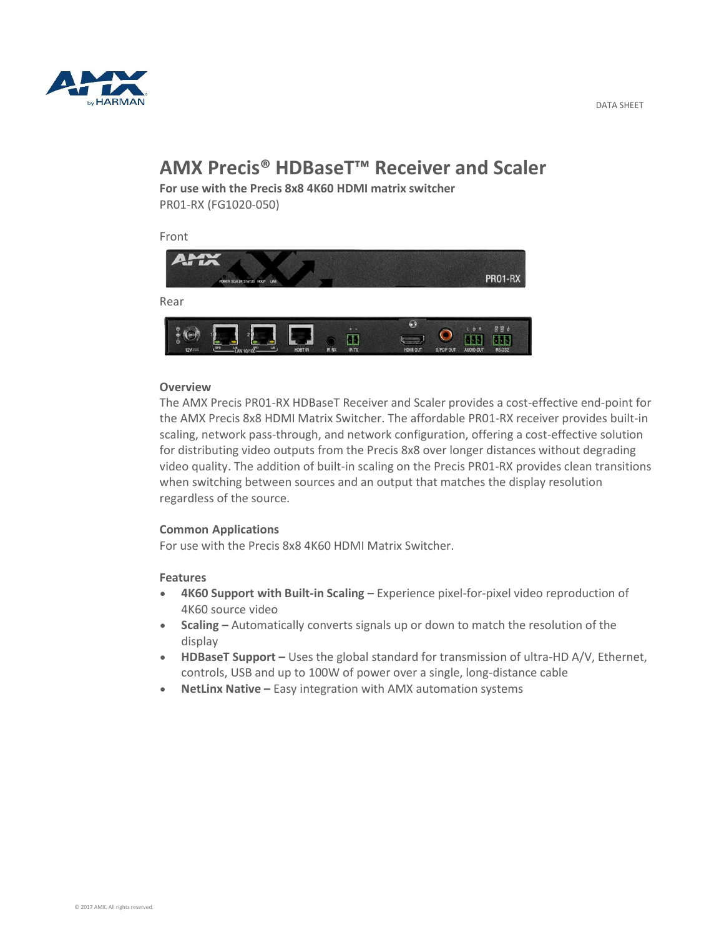

#### DATA SHEET

# **AMX Precis® HDBaseT™ Receiver and Scaler**

**For use with the Precis 8x8 4K60 HDMI matrix switcher** PR01-RX (FG1020-050)

Front



## **Overview**

The AMX Precis PR01-RX HDBaseT Receiver and Scaler provides a cost-effective end-point for the AMX Precis 8x8 HDMI Matrix Switcher. The affordable PR01-RX receiver provides built-in scaling, network pass-through, and network configuration, offering a cost-effective solution for distributing video outputs from the Precis 8x8 over longer distances without degrading video quality. The addition of built-in scaling on the Precis PR01-RX provides clean transitions when switching between sources and an output that matches the display resolution regardless of the source.

## **Common Applications**

For use with the Precis 8x8 4K60 HDMI Matrix Switcher.

## **Features**

- **4K60 Support with Built-in Scaling –** Experience pixel-for-pixel video reproduction of 4K60 source video
- **Scaling –** Automatically converts signals up or down to match the resolution of the display
- HDBaseT Support Uses the global standard for transmission of ultra-HD A/V, Ethernet, controls, USB and up to 100W of power over a single, long-distance cable
- NetLinx Native Easy integration with AMX automation systems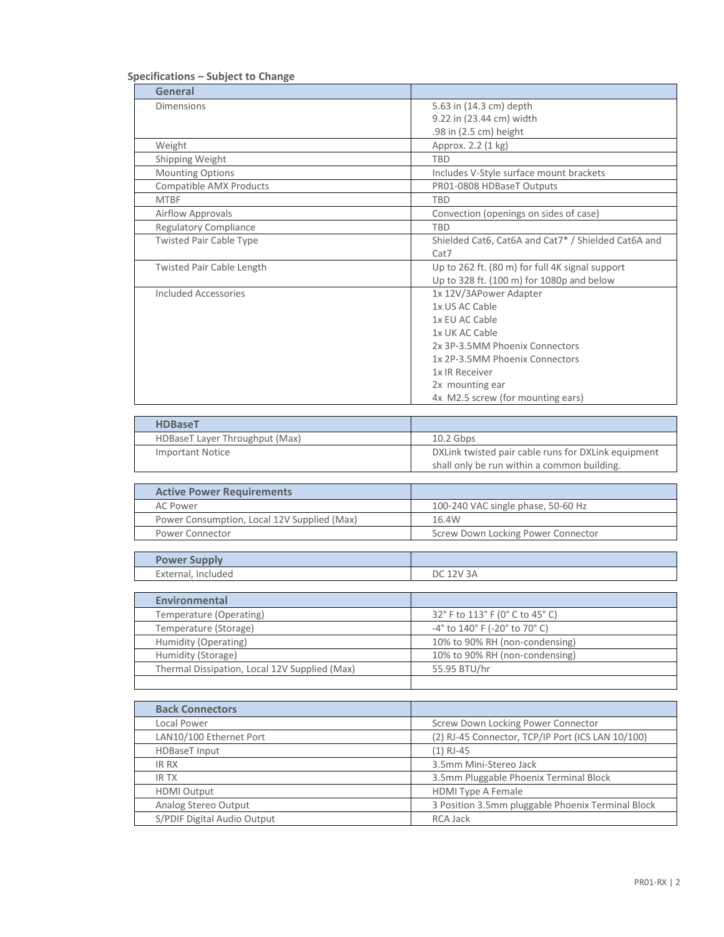## **Specifications – Subject to Change**

 $\mathbf l$ 

| General                          |                                                     |
|----------------------------------|-----------------------------------------------------|
| <b>Dimensions</b>                | 5.63 in (14.3 cm) depth                             |
|                                  | 9.22 in (23.44 cm) width                            |
|                                  | .98 in (2.5 cm) height                              |
| Weight                           | Approx. 2.2 (1 kg)                                  |
| Shipping Weight                  | <b>TBD</b>                                          |
| <b>Mounting Options</b>          | Includes V-Style surface mount brackets             |
| <b>Compatible AMX Products</b>   | PR01-0808 HDBaseT Outputs                           |
| <b>MTBF</b>                      | <b>TBD</b>                                          |
| <b>Airflow Approvals</b>         | Convection (openings on sides of case)              |
| <b>Regulatory Compliance</b>     | <b>TBD</b>                                          |
| <b>Twisted Pair Cable Type</b>   | Shielded Cat6, Cat6A and Cat7* / Shielded Cat6A and |
|                                  | Cat7                                                |
| <b>Twisted Pair Cable Length</b> | Up to 262 ft. (80 m) for full 4K signal support     |
|                                  | Up to 328 ft. (100 m) for 1080p and below           |
| Included Accessories             | 1x 12V/3APower Adapter                              |
|                                  | 1x US AC Cable                                      |
|                                  | 1x EU AC Cable                                      |
|                                  | 1x UK AC Cable                                      |
|                                  | 2x 3P-3.5MM Phoenix Connectors                      |
|                                  | 1x 2P-3.5MM Phoenix Connectors                      |
|                                  | 1x IR Receiver                                      |
|                                  | 2x mounting ear                                     |
|                                  | 4x M2.5 screw (for mounting ears)                   |

| <b>HDBaseT</b>                 |                                                     |
|--------------------------------|-----------------------------------------------------|
| HDBaseT Layer Throughput (Max) | $10.2$ Gbps                                         |
| <b>Important Notice</b>        | DXLink twisted pair cable runs for DXLink equipment |
|                                | shall only be run within a common building.         |

| <b>Active Power Requirements</b>            |                                    |
|---------------------------------------------|------------------------------------|
| AC Power                                    | 100-240 VAC single phase, 50-60 Hz |
| Power Consumption, Local 12V Supplied (Max) | 16.4W                              |
| Power Connector                             | Screw Down Locking Power Connector |

| <b>Power Supply</b>   |                  |
|-----------------------|------------------|
| Included<br>External, | <b>DC 12V 3A</b> |

| <b>Environmental</b>                          |                                                                     |
|-----------------------------------------------|---------------------------------------------------------------------|
| Temperature (Operating)                       | 32° F to 113° F (0° C to 45° C)                                     |
| Temperature (Storage)                         | $-4^{\circ}$ to $140^{\circ}$ F ( $-20^{\circ}$ to 70 $^{\circ}$ C) |
| Humidity (Operating)                          | 10% to 90% RH (non-condensing)                                      |
| Humidity (Storage)                            | 10% to 90% RH (non-condensing)                                      |
| Thermal Dissipation, Local 12V Supplied (Max) | 55.95 BTU/hr                                                        |
|                                               |                                                                     |

| <b>Back Connectors</b>      |                                                   |
|-----------------------------|---------------------------------------------------|
| Local Power                 | Screw Down Locking Power Connector                |
| LAN10/100 Ethernet Port     | (2) RJ-45 Connector, TCP/IP Port (ICS LAN 10/100) |
| <b>HDBaseT</b> Input        | $(1)$ RJ-45                                       |
| IR RX                       | 3.5mm Mini-Stereo Jack                            |
| <b>IRTX</b>                 | 3.5mm Pluggable Phoenix Terminal Block            |
| <b>HDMI Output</b>          | <b>HDMI Type A Female</b>                         |
| Analog Stereo Output        | 3 Position 3.5mm pluggable Phoenix Terminal Block |
| S/PDIF Digital Audio Output | <b>RCA Jack</b>                                   |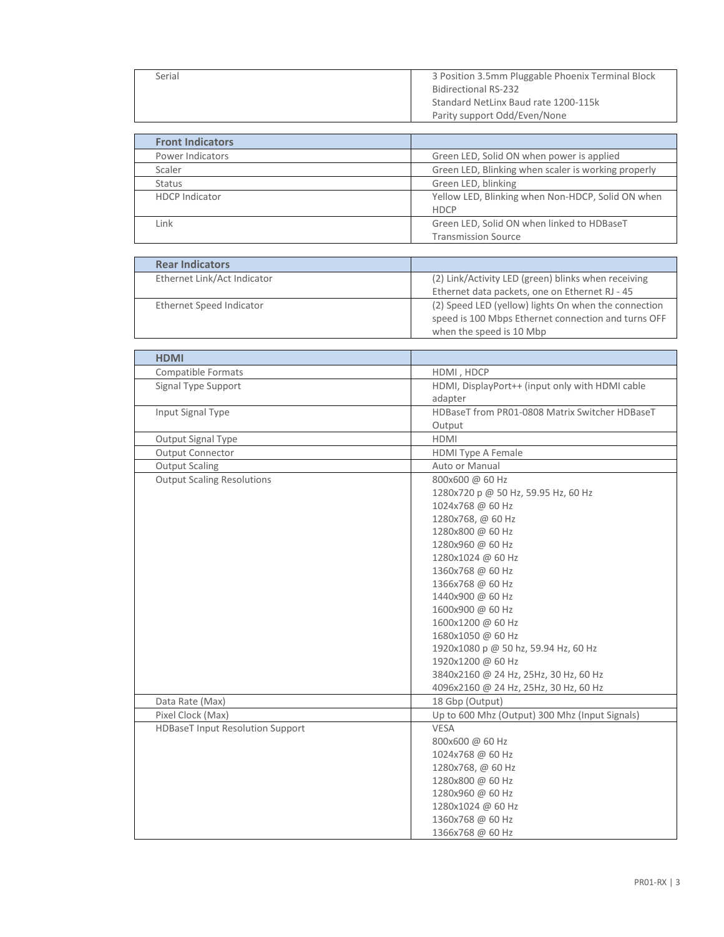| Serial | 3 Position 3.5mm Pluggable Phoenix Terminal Block |
|--------|---------------------------------------------------|
|        | <b>Bidirectional RS-232</b>                       |
|        | Standard NetLinx Baud rate 1200-115k              |
|        | Parity support Odd/Even/None                      |
|        |                                                   |

| <b>Front Indicators</b> |                                                                          |
|-------------------------|--------------------------------------------------------------------------|
| Power Indicators        | Green LED, Solid ON when power is applied                                |
| Scaler                  | Green LED, Blinking when scaler is working properly                      |
| <b>Status</b>           | Green LED, blinking                                                      |
| <b>HDCP</b> Indicator   | Yellow LED, Blinking when Non-HDCP, Solid ON when<br><b>HDCP</b>         |
| Link                    | Green LED, Solid ON when linked to HDBaseT<br><b>Transmission Source</b> |

| <b>Rear Indicators</b>                  |                                                      |
|-----------------------------------------|------------------------------------------------------|
| Ethernet Link/Act Indicator             | (2) Link/Activity LED (green) blinks when receiving  |
|                                         | Ethernet data packets, one on Ethernet RJ - 45       |
| Ethernet Speed Indicator                | (2) Speed LED (yellow) lights On when the connection |
|                                         | speed is 100 Mbps Ethernet connection and turns OFF  |
|                                         | when the speed is 10 Mbp                             |
|                                         |                                                      |
| <b>HDMI</b>                             |                                                      |
| <b>Compatible Formats</b>               | HDMI, HDCP                                           |
| Signal Type Support                     | HDMI, DisplayPort++ (input only with HDMI cable      |
|                                         | adapter                                              |
| Input Signal Type                       | HDBaseT from PR01-0808 Matrix Switcher HDBaseT       |
|                                         | Output                                               |
| Output Signal Type                      | <b>HDMI</b>                                          |
| <b>Output Connector</b>                 | <b>HDMI Type A Female</b>                            |
| <b>Output Scaling</b>                   | Auto or Manual                                       |
| <b>Output Scaling Resolutions</b>       | 800x600 @ 60 Hz                                      |
|                                         | 1280x720 p @ 50 Hz, 59.95 Hz, 60 Hz                  |
|                                         | 1024x768 @ 60 Hz                                     |
|                                         | 1280x768, @ 60 Hz                                    |
|                                         | 1280x800 @ 60 Hz                                     |
|                                         | 1280x960 @ 60 Hz                                     |
|                                         | 1280x1024 @ 60 Hz                                    |
|                                         | 1360x768 @ 60 Hz                                     |
|                                         | 1366x768 @ 60 Hz                                     |
|                                         | 1440x900 @ 60 Hz                                     |
|                                         | 1600x900 @ 60 Hz                                     |
|                                         | 1600x1200 @ 60 Hz                                    |
|                                         | 1680x1050 @ 60 Hz                                    |
|                                         | 1920x1080 p @ 50 hz, 59.94 Hz, 60 Hz                 |
|                                         | 1920x1200 @ 60 Hz                                    |
|                                         | 3840x2160 @ 24 Hz, 25Hz, 30 Hz, 60 Hz                |
|                                         | 4096x2160 @ 24 Hz, 25Hz, 30 Hz, 60 Hz                |
| Data Rate (Max)                         | 18 Gbp (Output)                                      |
| Pixel Clock (Max)                       | Up to 600 Mhz (Output) 300 Mhz (Input Signals)       |
| <b>HDBaseT Input Resolution Support</b> | VESA                                                 |
|                                         | 800x600 @ 60 Hz                                      |
|                                         | 1024x768 @ 60 Hz                                     |
|                                         | 1280x768, @ 60 Hz                                    |
|                                         | 1280x800 @ 60 Hz                                     |
|                                         | 1280x960 @ 60 Hz                                     |
|                                         | 1280x1024 @ 60 Hz                                    |
|                                         | 1360x768 @ 60 Hz                                     |
|                                         | 1366x768 @ 60 Hz                                     |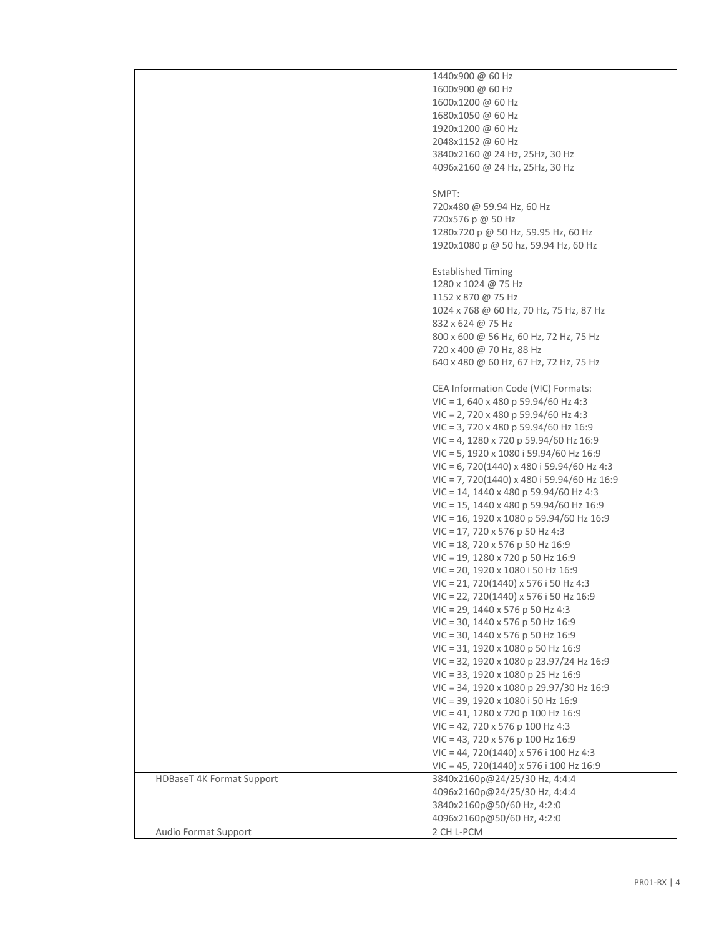|                                  | 1440x900 @ 60 Hz                                                                   |
|----------------------------------|------------------------------------------------------------------------------------|
|                                  | 1600x900 @ 60 Hz                                                                   |
|                                  | 1600x1200 @ 60 Hz                                                                  |
|                                  | 1680x1050 @ 60 Hz                                                                  |
|                                  | 1920x1200 @ 60 Hz                                                                  |
|                                  | 2048x1152 @ 60 Hz                                                                  |
|                                  | 3840x2160 @ 24 Hz, 25Hz, 30 Hz                                                     |
|                                  | 4096x2160 @ 24 Hz, 25Hz, 30 Hz                                                     |
|                                  |                                                                                    |
|                                  | SMPT:                                                                              |
|                                  | 720x480 @ 59.94 Hz, 60 Hz<br>720x576 p @ 50 Hz                                     |
|                                  | 1280x720 p @ 50 Hz, 59.95 Hz, 60 Hz                                                |
|                                  | 1920x1080 p @ 50 hz, 59.94 Hz, 60 Hz                                               |
|                                  |                                                                                    |
|                                  | <b>Established Timing</b>                                                          |
|                                  | 1280 x 1024 @ 75 Hz                                                                |
|                                  | 1152 x 870 @ 75 Hz                                                                 |
|                                  | 1024 x 768 @ 60 Hz, 70 Hz, 75 Hz, 87 Hz                                            |
|                                  | 832 x 624 @ 75 Hz                                                                  |
|                                  | 800 x 600 @ 56 Hz, 60 Hz, 72 Hz, 75 Hz                                             |
|                                  | 720 x 400 @ 70 Hz, 88 Hz                                                           |
|                                  | 640 x 480 @ 60 Hz, 67 Hz, 72 Hz, 75 Hz                                             |
|                                  |                                                                                    |
|                                  | CEA Information Code (VIC) Formats:                                                |
|                                  | $VIC = 1,640 \times 480$ p 59.94/60 Hz 4:3                                         |
|                                  | $VIC = 2$ , 720 x 480 p 59.94/60 Hz 4:3                                            |
|                                  | $VIC = 3$ , 720 x 480 p 59.94/60 Hz 16:9                                           |
|                                  | VIC = 4, 1280 x 720 p 59.94/60 Hz 16:9                                             |
|                                  | $VIC = 5$ , 1920 x 1080 i 59.94/60 Hz 16:9                                         |
|                                  | $VIC = 6$ , 720(1440) x 480 i 59.94/60 Hz 4:3                                      |
|                                  | $VIC = 7, 720(1440) \times 480$ i 59.94/60 Hz 16:9                                 |
|                                  | $VIC = 14$ , 1440 x 480 p 59.94/60 Hz 4:3                                          |
|                                  | $VIC = 15$ , 1440 x 480 p 59.94/60 Hz 16:9                                         |
|                                  | VIC = 16, 1920 x 1080 p 59.94/60 Hz 16:9<br>$VIC = 17, 720 \times 576$ p 50 Hz 4:3 |
|                                  | VIC = 18, 720 x 576 p 50 Hz 16:9                                                   |
|                                  | VIC = 19, 1280 x 720 p 50 Hz 16:9                                                  |
|                                  | VIC = 20, 1920 x 1080 i 50 Hz 16:9                                                 |
|                                  | $VIC = 21, 720(1440) \times 576$ i 50 Hz 4:3                                       |
|                                  | $VIC = 22, 720(1440) \times 576$ i 50 Hz 16:9                                      |
|                                  | $VIC = 29$ , 1440 x 576 p 50 Hz 4:3                                                |
|                                  | $VIC = 30$ , 1440 x 576 p 50 Hz 16:9                                               |
|                                  | VIC = 30, 1440 x 576 p 50 Hz 16:9                                                  |
|                                  | VIC = 31, 1920 x 1080 p 50 Hz 16:9                                                 |
|                                  | VIC = 32, 1920 x 1080 p 23.97/24 Hz 16:9                                           |
|                                  | VIC = 33, 1920 x 1080 p 25 Hz 16:9                                                 |
|                                  | VIC = 34, 1920 x 1080 p 29.97/30 Hz 16:9                                           |
|                                  | VIC = 39, 1920 x 1080 i 50 Hz 16:9                                                 |
|                                  | VIC = 41, 1280 x 720 p 100 Hz 16:9                                                 |
|                                  | $VIC = 42$ , 720 x 576 p 100 Hz 4:3                                                |
|                                  | $VIC = 43,720 \times 576$ p 100 Hz 16:9                                            |
|                                  | $VIC = 44, 720(1440) \times 576$ i 100 Hz 4:3                                      |
|                                  | $VIC = 45, 720(1440) \times 576$ i 100 Hz 16:9                                     |
| <b>HDBaseT 4K Format Support</b> | 3840x2160p@24/25/30 Hz, 4:4:4                                                      |
|                                  | 4096x2160p@24/25/30 Hz, 4:4:4                                                      |
|                                  | 3840x2160p@50/60 Hz, 4:2:0                                                         |
|                                  | 4096x2160p@50/60 Hz, 4:2:0                                                         |
| Audio Format Support             | 2 CH L-PCM                                                                         |